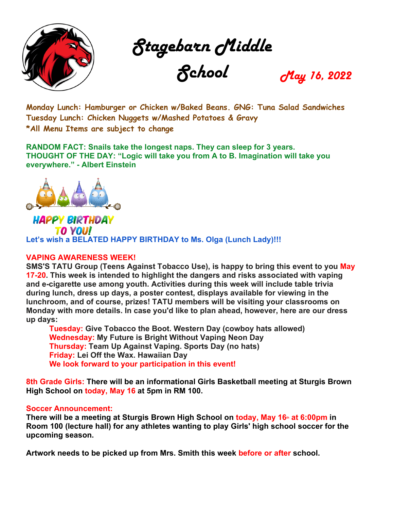

Stagebarn Middle

School May 16, 2022

**Monday Lunch: Hamburger or Chicken w/Baked Beans. GNG: Tuna Salad Sandwiches Tuesday Lunch: Chicken Nuggets w/Mashed Potatoes & Gravy \*All Menu Items are subject to change**

**RANDOM FACT: Snails take the longest naps. They can sleep for 3 years. THOUGHT OF THE DAY: "Logic will take you from A to B. Imagination will take you everywhere." - Albert Einstein**



**HAPPY BIRTHDAY TO YOU! Let's wish a BELATED HAPPY BIRTHDAY to Ms. Olga (Lunch Lady)!!!**

## **VAPING AWARENESS WEEK!**

**SMS'S TATU Group (Teens Against Tobacco Use), is happy to bring this event to you May 17-20. This week is intended to highlight the dangers and risks associated with vaping and e-cigarette use among youth. Activities during this week will include table trivia during lunch, dress up days, a poster contest, displays available for viewing in the lunchroom, and of course, prizes! TATU members will be visiting your classrooms on Monday with more details. In case you'd like to plan ahead, however, here are our dress up days:**

**Tuesday: Give Tobacco the Boot. Western Day (cowboy hats allowed) Wednesday: My Future is Bright Without Vaping Neon Day Thursday: Team Up Against Vaping. Sports Day (no hats) Friday: Lei Off the Wax. Hawaiian Day We look forward to your participation in this event!**

**8th Grade Girls: There will be an informational Girls Basketball meeting at Sturgis Brown High School on today, May 16 at 5pm in RM 100.**

## **Soccer Announcement:**

**There will be a meeting at Sturgis Brown High School on <b>today, May 16** at 6:00pm in **Room 100 (lecture hall) for any athletes wanting to play Girls' high school soccer for the upcoming season.**

**Artwork needs to be picked up from Mrs. Smith this week before or after school.**